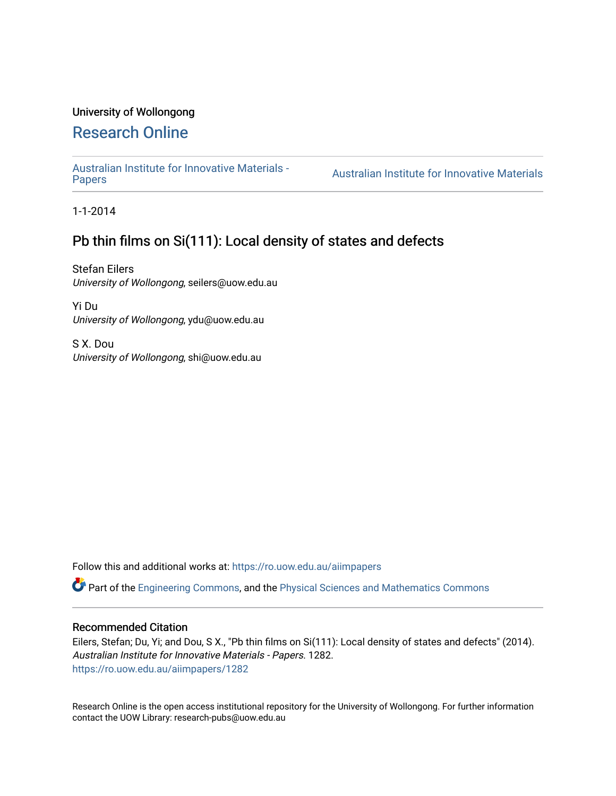# University of Wollongong

# [Research Online](https://ro.uow.edu.au/)

[Australian Institute for Innovative Materials -](https://ro.uow.edu.au/aiimpapers)

Australian Institute for Innovative Materials

1-1-2014

# Pb thin films on Si(111): Local density of states and defects

Stefan Eilers University of Wollongong, seilers@uow.edu.au

Yi Du University of Wollongong, ydu@uow.edu.au

S X. Dou University of Wollongong, shi@uow.edu.au

Follow this and additional works at: [https://ro.uow.edu.au/aiimpapers](https://ro.uow.edu.au/aiimpapers?utm_source=ro.uow.edu.au%2Faiimpapers%2F1282&utm_medium=PDF&utm_campaign=PDFCoverPages)

Part of the [Engineering Commons](http://network.bepress.com/hgg/discipline/217?utm_source=ro.uow.edu.au%2Faiimpapers%2F1282&utm_medium=PDF&utm_campaign=PDFCoverPages), and the [Physical Sciences and Mathematics Commons](http://network.bepress.com/hgg/discipline/114?utm_source=ro.uow.edu.au%2Faiimpapers%2F1282&utm_medium=PDF&utm_campaign=PDFCoverPages) 

### Recommended Citation

Eilers, Stefan; Du, Yi; and Dou, S X., "Pb thin films on Si(111): Local density of states and defects" (2014). Australian Institute for Innovative Materials - Papers. 1282. [https://ro.uow.edu.au/aiimpapers/1282](https://ro.uow.edu.au/aiimpapers/1282?utm_source=ro.uow.edu.au%2Faiimpapers%2F1282&utm_medium=PDF&utm_campaign=PDFCoverPages) 

Research Online is the open access institutional repository for the University of Wollongong. For further information contact the UOW Library: research-pubs@uow.edu.au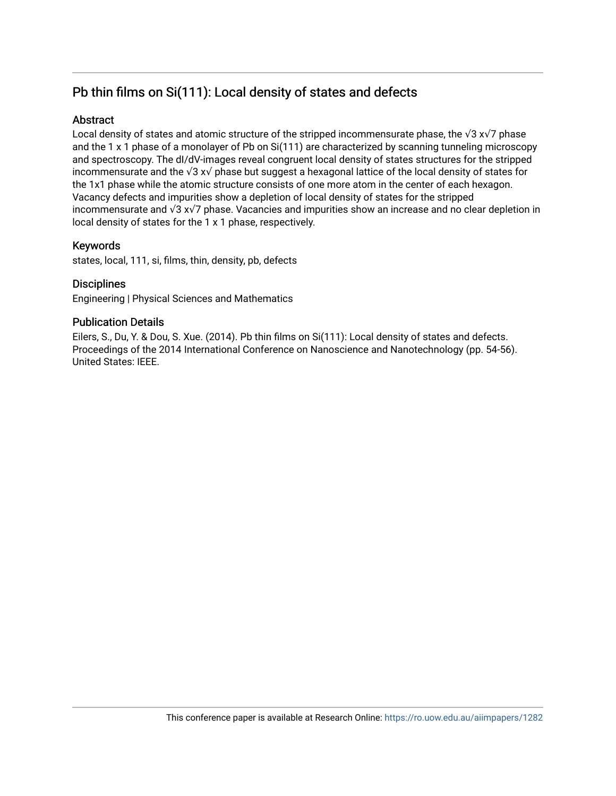# Pb thin films on Si(111): Local density of states and defects

## **Abstract**

Local density of states and atomic structure of the stripped incommensurate phase, the √3 x√7 phase and the 1 x 1 phase of a monolayer of Pb on Si(111) are characterized by scanning tunneling microscopy and spectroscopy. The dI/dV-images reveal congruent local density of states structures for the stripped incommensurate and the √3 x√ phase but suggest a hexagonal lattice of the local density of states for the 1x1 phase while the atomic structure consists of one more atom in the center of each hexagon. Vacancy defects and impurities show a depletion of local density of states for the stripped incommensurate and √3 x√7 phase. Vacancies and impurities show an increase and no clear depletion in local density of states for the 1 x 1 phase, respectively.

# Keywords

states, local, 111, si, films, thin, density, pb, defects

## **Disciplines**

Engineering | Physical Sciences and Mathematics

## Publication Details

Eilers, S., Du, Y. & Dou, S. Xue. (2014). Pb thin films on Si(111): Local density of states and defects. Proceedings of the 2014 International Conference on Nanoscience and Nanotechnology (pp. 54-56). United States: IEEE.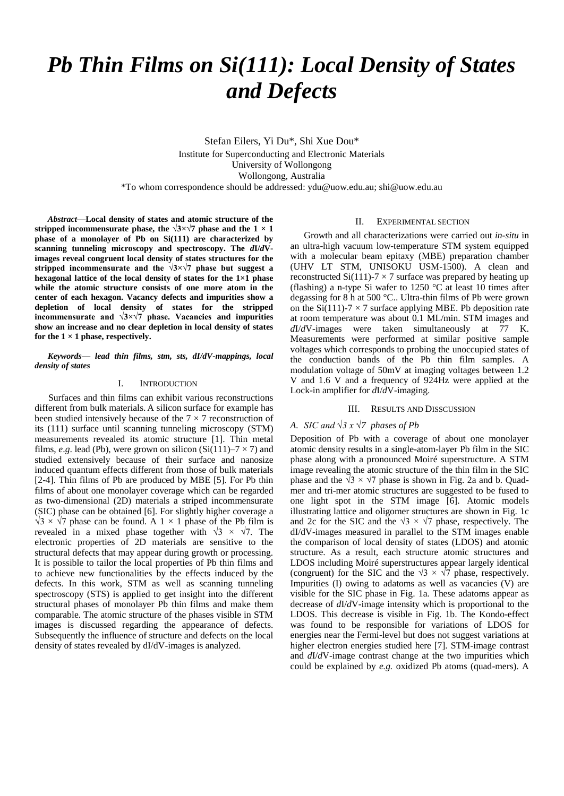# *Pb Thin Films on Si(111): Local Density of States and Defects*

Stefan Eilers, Yi Du\*, Shi Xue Dou\* Institute for Superconducting and Electronic Materials University of Wollongong Wollongong, Australia \*To whom correspondence should be addressed: ydu@uow.edu.au; shi@uow.edu.au

*Abstract***—Local density of states and atomic structure of the** stripped incommensurate phase, the  $\sqrt{3} \times \sqrt{7}$  phase and the  $1 \times 1$ **phase of a monolayer of Pb on Si(111) are characterized by scanning tunneling microscopy and spectroscopy. The** *d***I/***d***Vimages reveal congruent local density of states structures for the stripped incommensurate and the √3×√7 phase but suggest a hexagonal lattice of the local density of states for the 1×1 phase while the atomic structure consists of one more atom in the center of each hexagon. Vacancy defects and impurities show a depletion of local density of states for the stripped incommensurate and √3×√7 phase. Vacancies and impurities show an increase and no clear depletion in local density of states for the 1 ×1 phase, respectively.**

*Keywords— lead thin films, stm, sts, dI/dV-mappings, local density of states*

#### I. INTRODUCTION

Surfaces and thin films can exhibit various reconstructions different from bulk materials. A silicon surface for example has been studied intensively because of the  $7 \times 7$  reconstruction of its (111) surface until scanning tunneling microscopy (STM) measurements revealed its atomic structure [1]. Thin metal films, *e.g.* lead (Pb), were grown on silicon (Si $(111)$ –7  $\times$  7) and studied extensively because of their surface and nanosize induced quantum effects different from those of bulk materials [2-4]. Thin films of Pb are produced by MBE [5]. For Pb thin films of about one monolayer coverage which can be regarded as two-dimensional (2D) materials a striped incommensurate (SIC) phase can be obtained [6]. For slightly higher coverage a  $\sqrt{3}$  ×  $\sqrt{7}$  phase can be found. A 1 × 1 phase of the Pb film is revealed in a mixed phase together with  $\sqrt{3} \times \sqrt{7}$ . The electronic properties of 2D materials are sensitive to the structural defects that may appear during growth or processing. It is possible to tailor the local properties of Pb thin films and to achieve new functionalities by the effects induced by the defects. In this work, STM as well as scanning tunneling spectroscopy (STS) is applied to get insight into the different structural phases of monolayer Pb thin films and make them comparable. The atomic structure of the phases visible in STM images is discussed regarding the appearance of defects. Subsequently the influence of structure and defects on the local density of states revealed by dI/dV-images is analyzed.

### II. EXPERIMENTAL SECTION

Growth and all characterizations were carried out *in-situ* in an ultra-high vacuum low-temperature STM system equipped with a molecular beam epitaxy (MBE) preparation chamber (UHV LT STM, UNISOKU USM-1500). A clean and reconstructed Si(111)-7  $\times$  7 surface was prepared by heating up (flashing) a n-type Si wafer to 1250  $\mathbb C$  at least 10 times after degassing for 8 h at 500 °C.. Ultra-thin films of Pb were grown on the Si(111)-7  $\times$  7 surface applying MBE. Pb deposition rate at room temperature was about 0.1 ML/min. STM images and *d*I/*d*V-images were taken simultaneously at 77 K. Measurements were performed at similar positive sample voltages which corresponds to probing the unoccupied states of the conduction bands of the Pb thin film samples. A modulation voltage of 50mV at imaging voltages between 1.2 V and 1.6 V and a frequency of 924Hz were applied at the Lock-in amplifier for *d*I/*d*V-imaging.

### III. RESULTS AND DISSCUSSION

### *A. SIC and √3 x √7 phases of Pb*

Deposition of Pb with a coverage of about one monolayer atomic density results in a single-atom-layer Pb film in the SIC phase along with a pronounced Moirésuperstructure. A STM image revealing the atomic structure of the thin film in the SIC phase and the  $\sqrt{3} \times \sqrt{7}$  phase is shown in Fig. 2a and b. Quadmer and tri-mer atomic structures are suggested to be fused to one light spot in the STM image [6]. Atomic models illustrating lattice and oligomer structures are shown in Fig. 1c and 2c for the SIC and the  $\sqrt{3} \times \sqrt{7}$  phase, respectively. The dI/dV-images measured in parallel to the STM images enable the comparison of local density of states (LDOS) and atomic structure. As a result, each structure atomic structures and LDOS including Moirésuperstructures appear largely identical (congruent) for the SIC and the  $\sqrt{3} \times \sqrt{7}$  phase, respectively. Impurities (I) owing to adatoms as well as vacancies (V) are visible for the SIC phase in Fig. 1a. These adatoms appear as decrease of *d*I/*d*V-image intensity which is proportional to the LDOS. This decrease is visible in Fig. 1b. The Kondo-effect was found to be responsible for variations of LDOS for energies near the Fermi-level but does not suggest variations at higher electron energies studied here [7]. STM-image contrast and *d*I/*d*V-image contrast change at the two impurities which could be explained by *e.g.* oxidized Pb atoms (quad-mers). A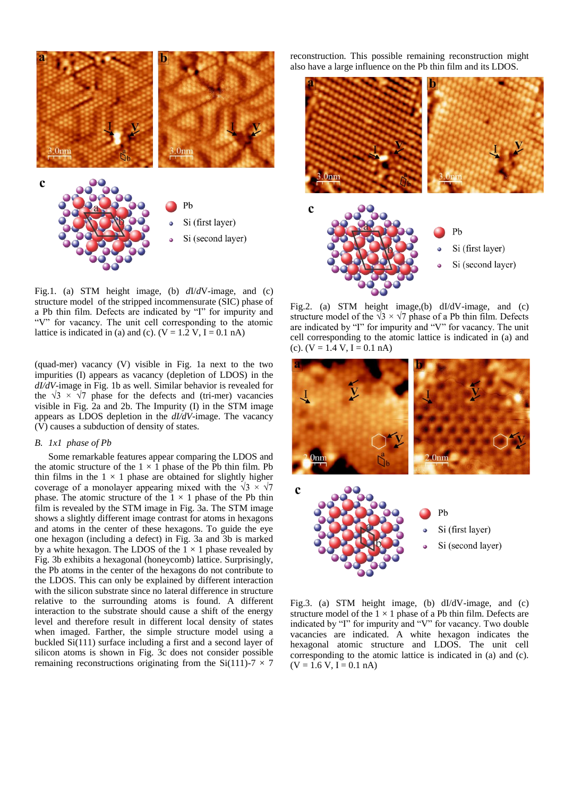

Fig.1. (a) STM height image, (b) *d*I/*d*V-image, and (c) structure model of the stripped incommensurate (SIC) phase of a Pb thin film. Defects are indicated by "I" for impurity and "V" for vacancy. The unit cell corresponding to the atomic lattice is indicated in (a) and (c).  $(V = 1.2 V, I = 0.1 nA)$ 

(quad-mer) vacancy (V) visible in Fig. 1a next to the two impurities (I) appears as vacancy (depletion of LDOS) in the *dI/dV*-image in Fig. 1b as well. Similar behavior is revealed for the  $\sqrt{3} \times \sqrt{7}$  phase for the defects and (tri-mer) vacancies visible in Fig. 2a and 2b. The Impurity (I) in the STM image appears as LDOS depletion in the *dI/dV*-image. The vacancy (V) causes a subduction of density of states.

### *B. 1x1 phase of Pb*

Some remarkable features appear comparing the LDOS and the atomic structure of the  $1 \times 1$  phase of the Pb thin film. Pb thin films in the  $1 \times 1$  phase are obtained for slightly higher coverage of a monolayer appearing mixed with the  $\sqrt{3} \times \sqrt{7}$ phase. The atomic structure of the  $1 \times 1$  phase of the Pb thin film is revealed by the STM image in Fig. 3a. The STM image shows a slightly different image contrast for atoms in hexagons and atoms in the center of these hexagons. To guide the eye one hexagon (including a defect) in Fig. 3a and 3b is marked by a white hexagon. The LDOS of the  $1 \times 1$  phase revealed by Fig. 3b exhibits a hexagonal (honeycomb) lattice. Surprisingly, the Pb atoms in the center of the hexagons do not contribute to the LDOS. This can only be explained by different interaction with the silicon substrate since no lateral difference in structure relative to the surrounding atoms is found. A different interaction to the substrate should cause a shift of the energy level and therefore result in different local density of states when imaged. Farther, the simple structure model using a buckled Si(111) surface including a first and a second layer of silicon atoms is shown in Fig. 3c does not consider possible remaining reconstructions originating from the Si(111)-7  $\times$  7 reconstruction. This possible remaining reconstruction might also have a large influence on the Pb thin film and its LDOS.



Fig.2. (a) STM height image,(b) dI/dV-image, and (c) structure model of the  $\sqrt{3} \times \sqrt{7}$  phase of a Pb thin film. Defects are indicated by "I" for impurity and "V" for vacancy. The unit cell corresponding to the atomic lattice is indicated in (a) and (c).  $(V = 1.4 V, I = 0.1 nA)$ 



Fig.3. (a) STM height image, (b) dI/dV-image, and (c) structure model of the  $1 \times 1$  phase of a Pb thin film. Defects are indicated by "I" for impurity and "V" for vacancy. Two double vacancies are indicated. A white hexagon indicates the hexagonal atomic structure and LDOS. The unit cell corresponding to the atomic lattice is indicated in (a) and (c).  $(V = 1.6 V, I = 0.1 nA)$